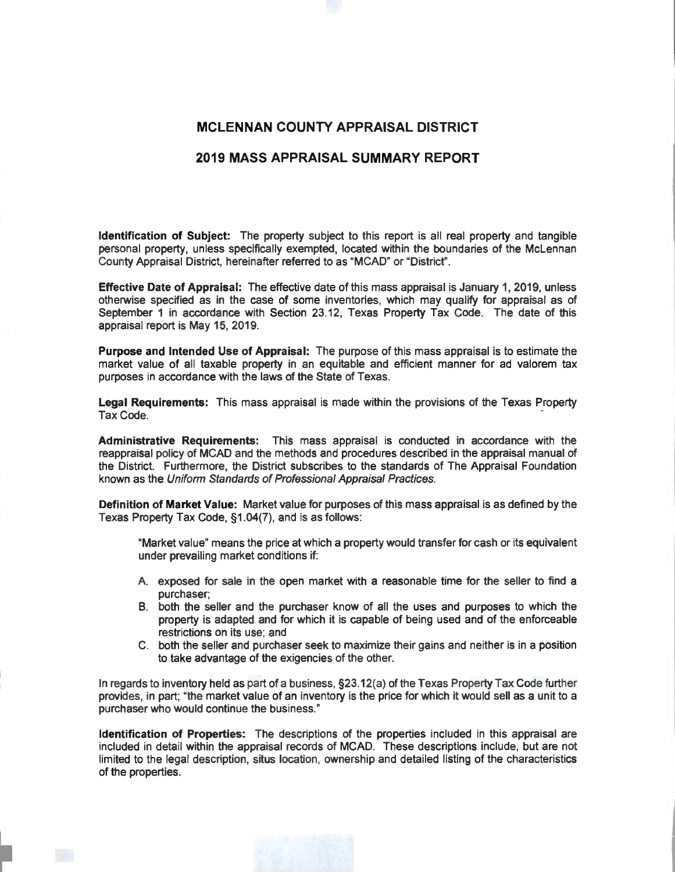## **MCLENNAN COUNTY APPRAISAL DISTRICT**

## **2019 MASS APPRAISAL SUMMARY REPORT**

**Identification of Subject:** The property subject to this report is all real property and tangible personal property, unless specifically exempted, located within the boundaries of the McLennan County Appraisal District, hereinafter referred to as "MCAD" or "District".

**Effective Date of Appraisal:** The effective date of this mass appraisal is January 1, 2019, unless otherwise specified as in the case of some inventories, which may qualify for appraisal as of September 1 in accordance with Section 23.12, Texas Property Tax Code. The date of this appraisal report is May 15, 2019.

**Purpose and Intended Use of Appraisal:** The purpose of this mass appraisal is to estimate the market value of all taxable property in an equitable and efficient manner for ad valorem tax purposes in accordance with the laws of the State of Texas.

**Legal Requirements:** This mass appraisal is made within the provisions of the Texas Property Tax Code. ·

**Administrative Requirements:** This mass appraisal is conducted in accordance with the reappraisal policy of MCAD and the methods and procedures described in the appraisal manual of the District. Furthermore, the District subscribes to the standards of The Appraisal Foundation known as the Uniform Standards of Professional Appraisal Practices.

**Definition of Market Value:** Market value for purposes of this mass appraisal is as defined by the Texas Property Tax Code, §1.04(7), and is as follows:

"Market value" means the price at which a property would transfer for cash or its equivalent under prevailing market conditions if:

- A. exposed for sale in the open market with a reasonable time for the seller to find a purchaser;
- B. both the seller and the purchaser know of all the uses and purposes to which the property is adapted and for which it is capable of being used and of the enforceable restrictions on its use; and
- C. both the seller and purchaser seek to maximize their gains and neither is in a position to take advantage of the exigencies of the other.

In regards to inventory held as part of a business, §23.12(a) of the Texas Property Tax Code further provides, in part; "the market value of an inventory is the price for which it would sell as a unit to a purchaser who would continue the business."

**Identification of Properties:** The descriptions of the properties included in this appraisal are included in detail within the appraisal records of MCAD. These descriptions include, but are not limited to the legal description, situs location, ownership and detailed listing of the characteristics of the properties.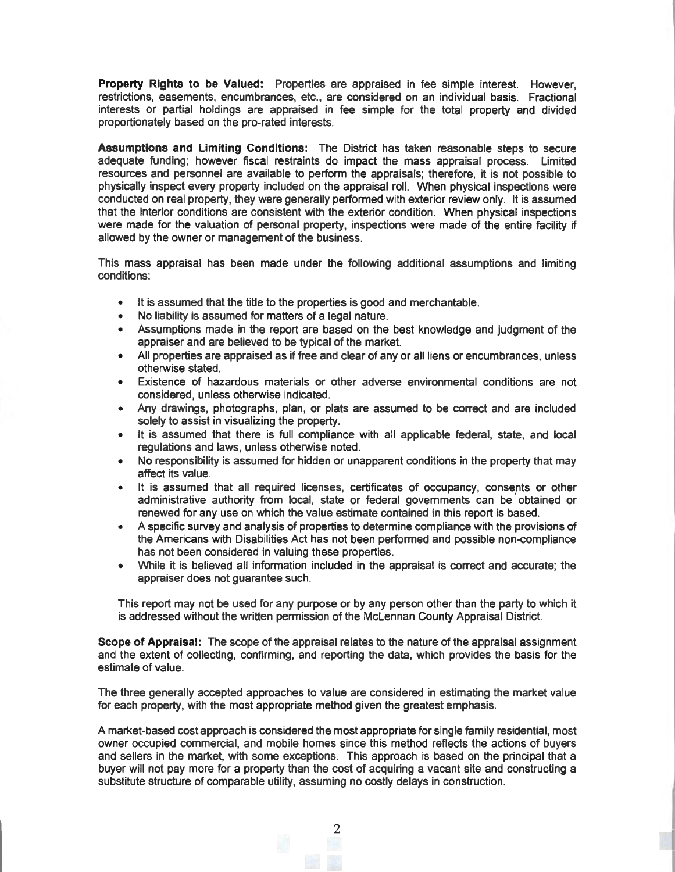**Property Rights to be Valued:** Properties are appraised in fee simple interest. However, restrictions, easements, encumbrances, etc., are considered on an individual basis. Fractional interests or partial holdings are appraised in fee simple for the total property and divided proportionately based on the pro-rated interests.

**Assumptions and Limiting Conditions:** The District has taken reasonable steps to secure adequate funding; however fiscal restraints do impact the mass appraisal process. Limited resources and personnel are available to perform the appraisals; therefore, it is not possible to physically inspect every property included on the appraisal roll. When physical inspections were conducted on real property, they were generally performed with exterior review only. It is assumed that the interior conditions are consistent with the exterior condition. When physical inspections were made for the valuation of personal property, inspections were made of the entire facility if allowed by the owner or management of the business.

This mass appraisal has been made under the following additional assumptions and limiting conditions:

- It is assumed that the title to the properties is good and merchantable.
- No liability is assumed for matters of a legal nature.
- Assumptions made in the report are based on the best knowledge and judgment of the appraiser and are believed to be typical of the market.
- All properties are appraised as if free and clear of any or all liens or encumbrances, unless otherwise stated.
- Existence of hazardous materials or other adverse environmental conditions are not considered, unless otherwise indicated.
- Any drawings, photographs, plan, or plats are assumed to be correct and are included solely to assist in visualizing the property.
- It is assumed that there is full compliance with all applicable federal, state, and local regulations and laws, unless otherwise noted.
- No responsibility is assumed for hidden or unapparent conditions in the property that may affect its value.
- It is assumed that all required licenses, certificates of occupancy, consents or other administrative authority from local, state or federal governments can be obtained or renewed for any use on which the value estimate contained in this report is based.
- A specific survey and analysis of properties to determine compliance with the provisions of the Americans with Disabilities Act has not been performed and possible non-compliance has not been considered in valuing these properties.
- While it is believed all information included in the appraisal is correct and accurate; the appraiser does not guarantee such.

This report may not be used for any purpose or by any person other than the party to which it is addressed without the written permission of the McLennan County Appraisal District.

**Scope of Appraisal:** The scope of the appraisal relates to the nature of the appraisal assignment and the extent of collecting, confirming, and reporting the data, which provides the basis for the estimate of value.

The three generally accepted approaches to value are considered in estimating the market value for each property, with the most appropriate method given the greatest emphasis.

A market-based cost approach is considered the most appropriate for single family residential, most owner occupied commercial, and mobile homes since this method reflects the actions of buyers and sellers in the market, with some exceptions. This approach is based on the principal that a buyer will not pay more for a property than the cost of acquiring a vacant site and constructing a substitute structure of comparable utility, assuming no costly delays in construction.

2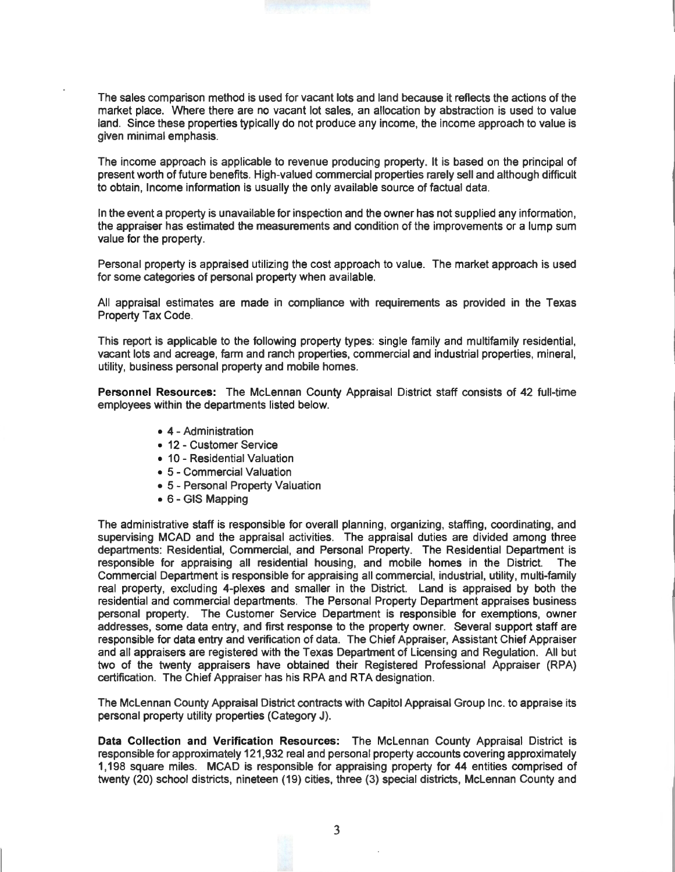The sales comparison method is used for vacant lots and land because it reflects the actions of the market place. Where there are no vacant lot sales, an allocation by abstraction is used to value land. Since these properties typically do not produce any income, the income approach to value is given minimal emphasis.

The income approach is applicable to revenue producing property. It is based on the principal of present worth of future benefits. High-valued commercial properties rarely sell and although difficult to obtain, Income information is usually the only available source of factual data.

In the event a property is unavailable for inspection and the owner has not supplied any information, the appraiser has estimated the measurements and condition of the improvements or a lump sum value for the property.

Personal property is appraised utilizing the cost approach to value. The market approach is used for some categories of personal property when available.

All appraisal estimates are made in compliance with requirements as provided in the Texas Property Tax Code.

This report is applicable to the following property types: single family and multifamily residential, vacant lots and acreage, fann and ranch properties, commercial and industrial properties, mineral, utility, business personal property and mobile homes.

**Personnel Resources:** The McLennan County Appraisal District staff consists of 42 full-time employees within the departments listed below.

- 4 Administration
- 12 Customer Service
- 10 Residential Valuation
- 5 Commercial Valuation
- 5 Personal Property Valuation
- 6 GIS Mapping

The administrative staff is responsible for overall planning, organizing, staffing, coordinating, and supervising MCAD and the appraisal activities. The appraisal duties are divided among three departments: Residential, Commercial, and Personal Property. The Residential Department is responsible for appraising all residential housing, and mobile homes in the District. The Commercial Department is responsible for appraising all commercial, industrial, utility, multi-family real property, excluding 4-plexes and smaller in the District. Land is appraised by both the residential and commercial departments. The Personal Property Department appraises business personal property. The Customer Service Department is responsible for exemptions, owner addresses, some data entry, and first response to the property owner. Several support staff are responsible for data entry and verification of data. The Chief Appraiser, Assistant Chief Appraiser and all appraisers are registered with the Texas Department of Licensing and Regulation. All but two of the twenty appraisers have obtained their Registered Professional Appraiser (RPA) certification. The Chief Appraiser has his RPA and RTA designation.

The McLennan County Appraisal District contracts with Capitol Appraisal Group Inc. to appraise its personal property utility properties (Category J).

**Data Collection and Verification Resources:** The McLennan County Appraisal District is responsible for approximately 121,932 real and personal property accounts covering approximately 1, 198 square miles. MCAD is responsible for appraising property for 44 entities comprised of twenty (20) school districts, nineteen (19) cities, three (3) special districts, McLennan County and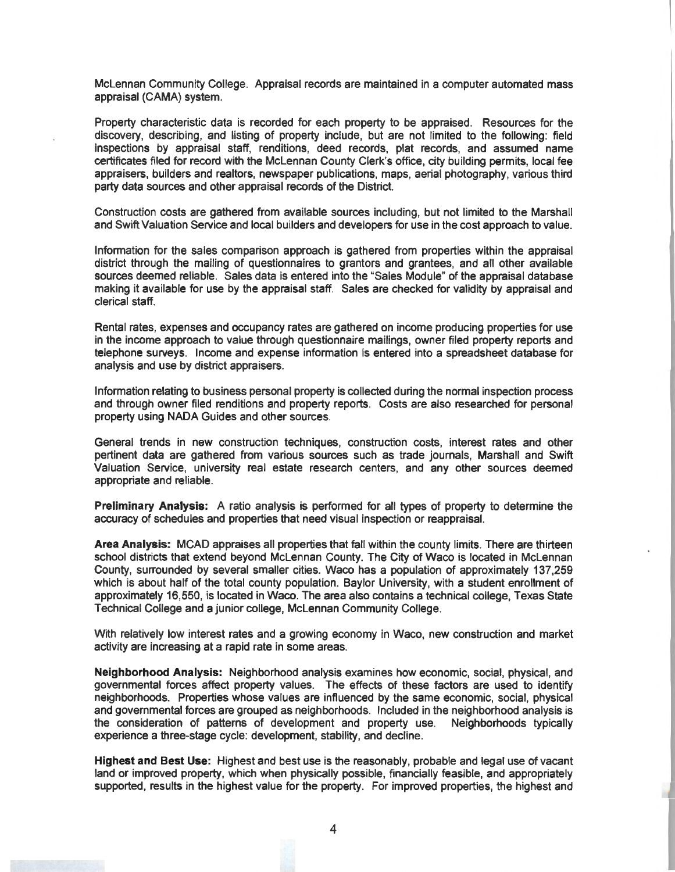McLennan Community College. Appraisal records are maintained in a computer automated mass appraisal **(CAMA)** system.

Property characteristic data is recorded for each property to be appraised. Resources for the discovery, describing, and listing of property include, but are not limited to the following: field inspections by appraisal staff, renditions, deed records, plat records, and assumed name certificates filed for record with the McLennan County Clerk's office, city building permits, local fee appraisers, builders and realtors, newspaper publications, maps, aerial photography, various third party data sources and other appraisal records of the District.

Construction costs are gathered from available sources including, but not limited to the Marshall and Swift Valuation Service and local builders and developers for use in the cost approach to value.

lnfonnation for the sales comparison approach is gathered from properties within the appraisal district through the mailing of questionnaires to granters and grantees, and all other available sources deemed reliable. Sales data is entered into the "Sales Module" of the appraisal database making it available for use by the appraisal staff. Sales are checked for validity by appraisal and clerical staff.

Rental rates, expenses and occupancy rates are gathered on income producing properties for use in the income approach to value through questionnaire mailings, owner filed property reports and telephone surveys. Income and expense information is entered into a spreadsheet database for analysis and use by district appraisers.

Information relating to business personal property is collected during the normal inspection process and through owner filed renditions and property reports. Costs are also researched for personal property using NADA Guides and other sources.

General trends in new construction techniques, construction costs, interest rates and other pertinent data are gathered from various sources such as trade journals, Marshall and Swift Valuation Service, university real estate research centers, and any other sources deemed appropriate and reliable.

**Preliminary Analysis:** A ratio analysis is performed for all types of property to determine the accuracy of schedules and properties that need visual inspection or reappraisal.

**Area Analysis:** MCAD appraises all properties that fall within the county limits. There are thirteen school districts that extend beyond McLennan County. The City of Waco is located in McLennan County, surrounded by several smaller cities. Waco has a population of approximately 137,259 which is about half of the total county population. Baylor University, with a student enrollment of approximately 16,550, is located in Waco. The area also contains a technical college, Texas State Technical College and a junior college, McLennan Community College.

With relatively low interest rates and a growing economy in Waco, new construction and market activity are increasing at a rapid rate in some areas.

**Neighborhood Analysis:** Neighborhood analysis examines how economic, social, physical, and governmental forces affect property values. The effects of these factors are used to identify neighborhoods. Properties whose values are influenced by the same economic, social, physical and governmental forces are grouped as neighborhoods. Included in the neighborhood analysis is the consideration of patterns of development and property use. Neighborhoods typically experience a three-stage cycle: development, stability, and decline.

**Highest and Best Use:** Highest and best use is the reasonably, probable and legal use of vacant land or improved property, which when physically possible, financially feasible, and appropriately supported, results in the highest value for the property. For improved properties, the highest and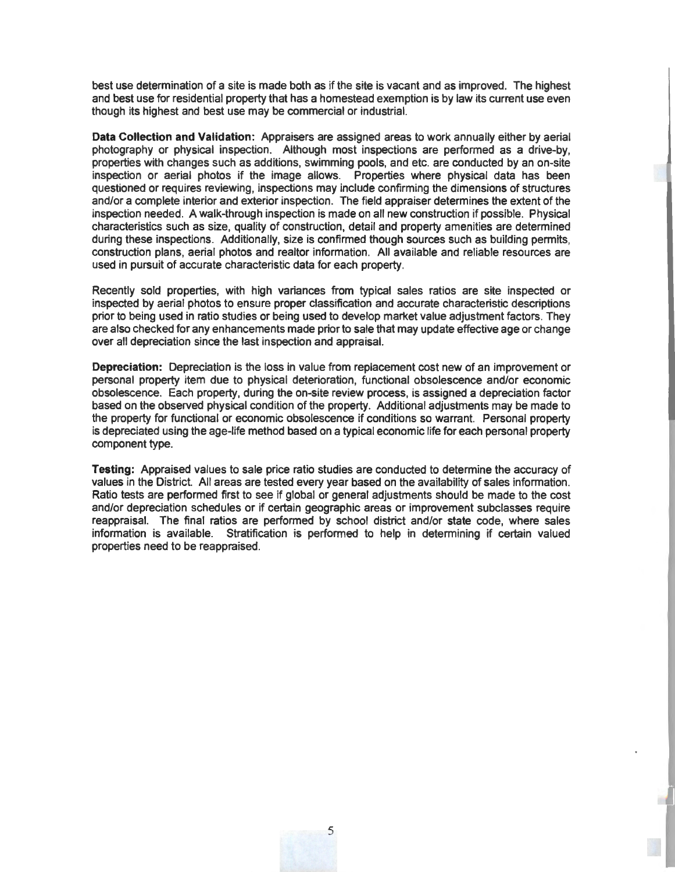best use determination of a site is made both as if the site is vacant and as improved. The highest and best use for residential property that has a homestead exemption is by law its current use even though its highest and best use may be commercial or industrial.

**Data Collection and Validation:** Appraisers are assigned areas to work annually either by aerial photography or physical inspection. Although most inspections are performed as a drive-by, properties with changes such as additions, swimming pools, and etc. are conducted by an on-site inspection or aerial photos if the image allows. Properties where physical data has been questioned or requires reviewing, inspections may include confirming the dimensions of structures and/or a complete interior and exterior inspection. The field appraiser determines the extent of the inspection needed. A walk-through inspection is made on all new construction if possible. Physical characteristics such as size, quality of construction, detail and property amenities are determined during these inspections. Additionally, size is confirmed though sources such as building permits, construction plans, aerial photos and realtor information. All available and reliable resources are used in pursuit of accurate characteristic data for each property.

Recently sold properties, with high variances from typical sales ratios are site inspected or inspected by aerial photos to ensure proper classification and accurate characteristic descriptions prior to being used in ratio studies or being used to develop market value adjustment factors. They are also checked for any enhancements made prior to sale that may update effective age or change over all depreciation since the last inspection and appraisal.

**Depreciation:** Depreciation is the loss in value from replacement cost new of an improvement or personal property item due to physical deterioration, functional obsolescence and/or economic obsolescence. Each property, during the on-site review process, is assigned a depreciation factor based on the observed physical condition of the property. Additional adjustments may be made to the property for functional or economic obsolescence if conditions so warrant. Personal property is depreciated using the age-life method based on a typical economic life for each personal property component type.

**Testing:** Appraised values to sale price ratio studies are conducted to determine the accuracy of values in the District. All areas are tested every year based on the availability of sales information. Ratio tests are performed first to see if global or general adjustments should be made to the cost and/or depreciation schedules or if certain geographic areas or improvement subclasses require reappraisal. The final ratios are performed by school district and/or state code, where sales information is available. Stratification is performed to help in determining if certain valued properties need to be reappraised.

5